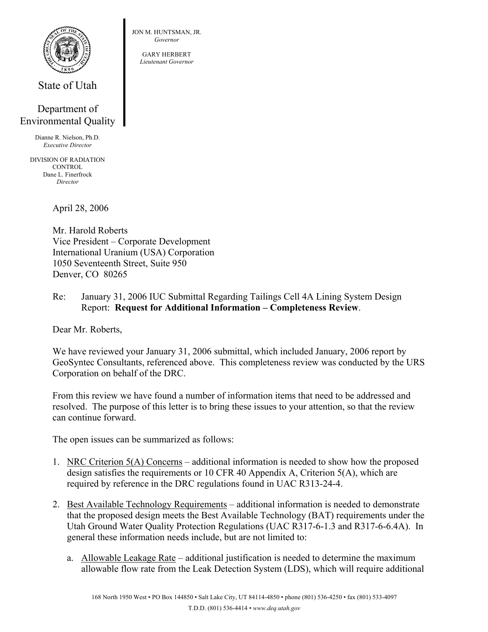

State of Utah

## Department of Environmental Quality

Dianne R. Nielson, Ph.D. *Executive Director* 

DIVISION OF RADIATION **CONTROL** Dane L. Finerfrock *Director* 

April 28, 2006

Mr. Harold Roberts Vice President – Corporate Development International Uranium (USA) Corporation 1050 Seventeenth Street, Suite 950 Denver, CO 80265

Re: January 31, 2006 IUC Submittal Regarding Tailings Cell 4A Lining System Design Report: **Request for Additional Information – Completeness Review**.

Dear Mr. Roberts,

We have reviewed your January 31, 2006 submittal, which included January, 2006 report by GeoSyntec Consultants, referenced above. This completeness review was conducted by the URS Corporation on behalf of the DRC.

From this review we have found a number of information items that need to be addressed and resolved. The purpose of this letter is to bring these issues to your attention, so that the review can continue forward.

The open issues can be summarized as follows:

- 1. NRC Criterion 5(A) Concerns additional information is needed to show how the proposed design satisfies the requirements or 10 CFR 40 Appendix A, Criterion 5(A), which are required by reference in the DRC regulations found in UAC R313-24-4.
- 2. Best Available Technology Requirements additional information is needed to demonstrate that the proposed design meets the Best Available Technology (BAT) requirements under the Utah Ground Water Quality Protection Regulations (UAC R317-6-1.3 and R317-6-6.4A). In general these information needs include, but are not limited to:
	- a. Allowable Leakage Rate additional justification is needed to determine the maximum allowable flow rate from the Leak Detection System (LDS), which will require additional

JON M. HUNTSMAN, JR. *Governor* 

> GARY HERBERT *Lieutenant Governor*